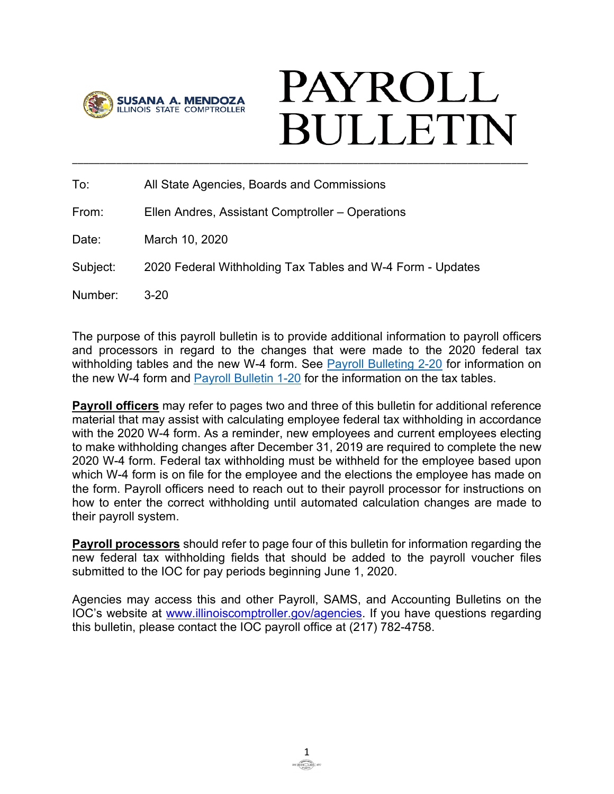

# **PAYROLL BULLETIN** \_\_\_\_\_\_\_\_\_\_\_\_\_\_\_\_\_\_\_\_\_\_\_\_\_\_\_\_\_\_\_\_\_\_\_\_\_\_\_\_\_\_\_\_\_\_\_\_\_\_\_\_\_\_\_\_\_\_\_\_\_\_\_\_\_\_\_\_\_\_\_\_\_\_\_\_\_\_\_\_\_\_\_

To: All State Agencies, Boards and Commissions

From: Ellen Andres, Assistant Comptroller – Operations

Date: March 10, 2020

Subject: 2020 Federal Withholding Tax Tables and W-4 Form - Updates

Number: 3-20

The purpose of this payroll bulletin is to provide additional information to payroll officers and processors in regard to the changes that were made to the 2020 federal tax withholding tables and the new W-4 form. See [Payroll Bulleting 2-20](https://illinoiscomptroller.gov/comptroller/cache/file/6C9DA94C-5056-93B5-5E857DD7E9BBC3F7.pdf) for information on the new W-4 form and [Payroll Bulletin 1-20](https://illinoiscomptroller.gov/comptroller/cache/file/A015BF12-5056-93B5-5E96735CF436DBA1.pdf) for the information on the tax tables.

**Payroll officers** may refer to pages two and three of this bulletin for additional reference material that may assist with calculating employee federal tax withholding in accordance with the 2020 W-4 form. As a reminder, new employees and current employees electing to make withholding changes after December 31, 2019 are required to complete the new 2020 W-4 form. Federal tax withholding must be withheld for the employee based upon which W-4 form is on file for the employee and the elections the employee has made on the form. Payroll officers need to reach out to their payroll processor for instructions on how to enter the correct withholding until automated calculation changes are made to their payroll system.

**Payroll processors** should refer to page four of this bulletin for information regarding the new federal tax withholding fields that should be added to the payroll voucher files submitted to the IOC for pay periods beginning June 1, 2020.

Agencies may access this and other Payroll, SAMS, and Accounting Bulletins on the IOC's website at [www.illinoiscomptroller.gov/agencies.](http://www.illinoiscomptroller.gov/agencies) If you have questions regarding this bulletin, please contact the IOC payroll office at (217) 782-4758.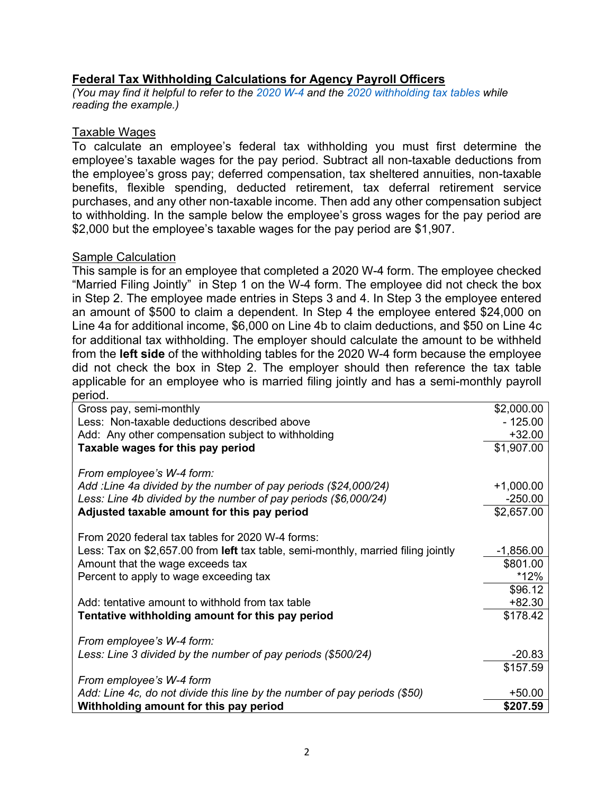# **Federal Tax Withholding Calculations for Agency Payroll Officers**

*(You may find it helpful to refer to the [2020 W-4](https://illinoiscomptroller.gov/agencies/resource-library/accounting-forms/c-25-irs-form-w-4-employees-withholding-certificate-2020/) and the [2020 withholding tax tables](https://illinoiscomptroller.gov/comptroller/cache/file/A015BF12-5056-93B5-5E96735CF436DBA1.pdf) while reading the example.)*

#### Taxable Wages

To calculate an employee's federal tax withholding you must first determine the employee's taxable wages for the pay period. Subtract all non-taxable deductions from the employee's gross pay; deferred compensation, tax sheltered annuities, non-taxable benefits, flexible spending, deducted retirement, tax deferral retirement service purchases, and any other non-taxable income. Then add any other compensation subject to withholding. In the sample below the employee's gross wages for the pay period are \$2,000 but the employee's taxable wages for the pay period are \$1,907.

## Sample Calculation

This sample is for an employee that completed a 2020 W-4 form. The employee checked "Married Filing Jointly" in Step 1 on the W-4 form. The employee did not check the box in Step 2. The employee made entries in Steps 3 and 4. In Step 3 the employee entered an amount of \$500 to claim a dependent. In Step 4 the employee entered \$24,000 on Line 4a for additional income, \$6,000 on Line 4b to claim deductions, and \$50 on Line 4c for additional tax withholding. The employer should calculate the amount to be withheld from the **left side** of the withholding tables for the 2020 W-4 form because the employee did not check the box in Step 2. The employer should then reference the tax table applicable for an employee who is married filing jointly and has a semi-monthly payroll period.

| Gross pay, semi-monthly                                                           | \$2,000.00  |
|-----------------------------------------------------------------------------------|-------------|
| Less: Non-taxable deductions described above                                      | $-125.00$   |
| Add: Any other compensation subject to withholding                                | $+32.00$    |
| Taxable wages for this pay period                                                 | \$1,907.00  |
| From employee's W-4 form:                                                         |             |
| Add: Line 4a divided by the number of pay periods (\$24,000/24)                   |             |
|                                                                                   | $+1,000.00$ |
| Less: Line 4b divided by the number of pay periods (\$6,000/24)                   | $-250.00$   |
| Adjusted taxable amount for this pay period                                       | \$2,657.00  |
|                                                                                   |             |
| From 2020 federal tax tables for 2020 W-4 forms:                                  |             |
| Less: Tax on \$2,657.00 from left tax table, semi-monthly, married filing jointly | $-1,856.00$ |
| Amount that the wage exceeds tax                                                  | \$801.00    |
| Percent to apply to wage exceeding tax                                            | *12%        |
|                                                                                   |             |
|                                                                                   | \$96.12     |
| Add: tentative amount to withhold from tax table                                  | $+82.30$    |
| Tentative withholding amount for this pay period                                  | \$178.42    |
|                                                                                   |             |
| From employee's W-4 form:                                                         |             |
| Less: Line 3 divided by the number of pay periods (\$500/24)                      | $-20.83$    |
|                                                                                   | \$157.59    |
| From employee's W-4 form                                                          |             |
|                                                                                   |             |
| Add: Line 4c, do not divide this line by the number of pay periods (\$50)         | $+50.00$    |
| Withholding amount for this pay period                                            | \$207.59    |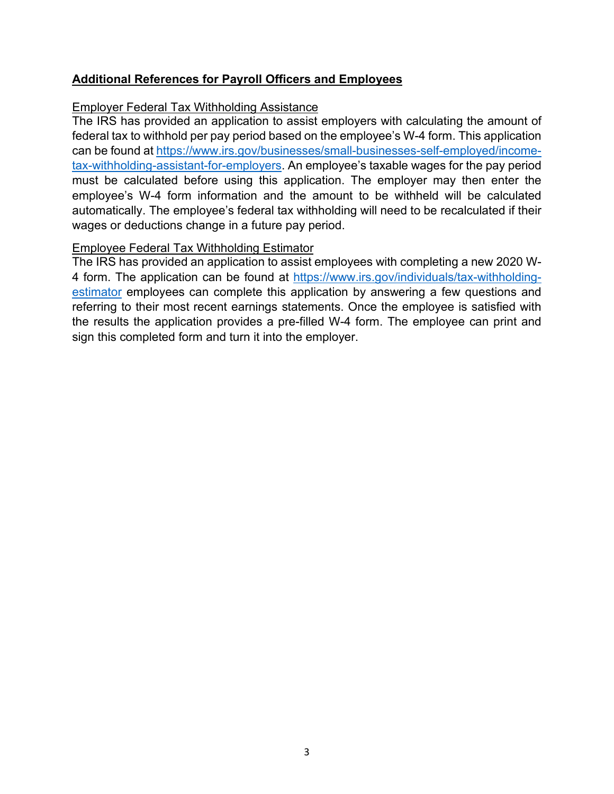# **Additional References for Payroll Officers and Employees**

## Employer Federal Tax Withholding Assistance

The IRS has provided an application to assist employers with calculating the amount of federal tax to withhold per pay period based on the employee's W-4 form. This application can be found at [https://www.irs.gov/businesses/small-businesses-self-employed/income](https://www.irs.gov/businesses/small-businesses-self-employed/income-tax-withholding-assistant-for-employers)[tax-withholding-assistant-for-employers.](https://www.irs.gov/businesses/small-businesses-self-employed/income-tax-withholding-assistant-for-employers) An employee's taxable wages for the pay period must be calculated before using this application. The employer may then enter the employee's W-4 form information and the amount to be withheld will be calculated automatically. The employee's federal tax withholding will need to be recalculated if their wages or deductions change in a future pay period.

# Employee Federal Tax Withholding Estimator

The IRS has provided an application to assist employees with completing a new 2020 W-4 form. The application can be found at [https://www.irs.gov/individuals/tax-withholding](https://www.irs.gov/individuals/tax-withholding-estimator)[estimator](https://www.irs.gov/individuals/tax-withholding-estimator) employees can complete this application by answering a few questions and referring to their most recent earnings statements. Once the employee is satisfied with the results the application provides a pre-filled W-4 form. The employee can print and sign this completed form and turn it into the employer.